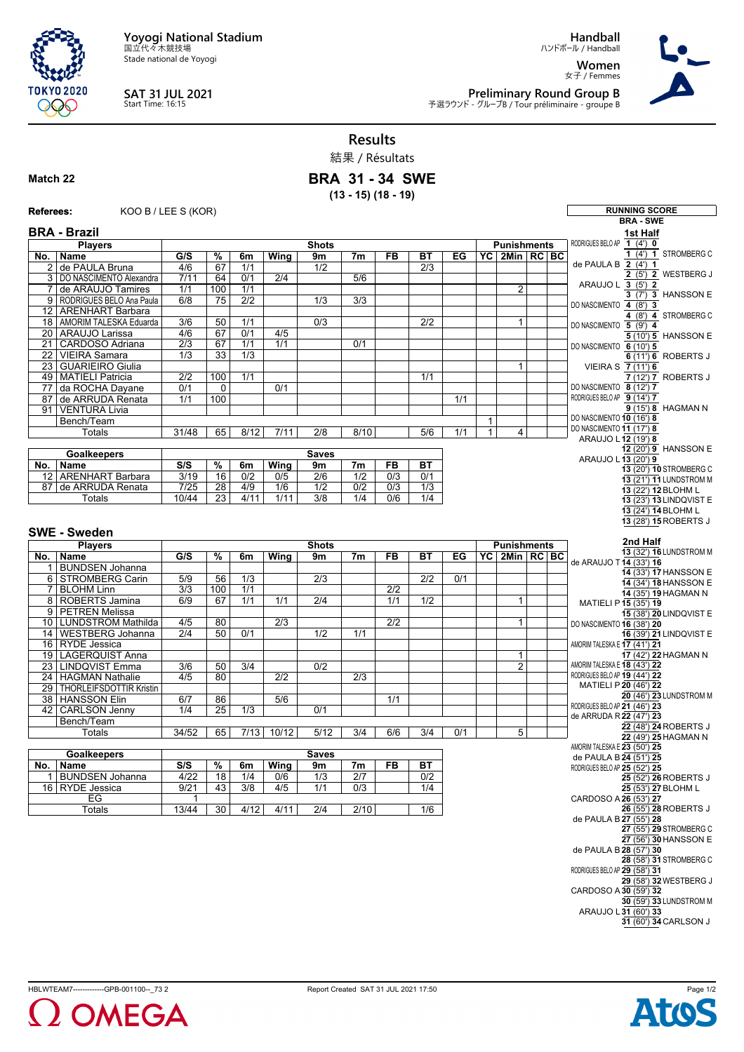**Yoyogi National Stadium** 国立代々木競技場

Stade national de Yoyogi



## **SAT 31 JUL 2021** Start Time: 16:15

**Handball**

ハンドボール / Handball **Women** 女子 / Femmes



**Preliminary Round Group B**<br>予選ラウンド - グループB / Tour préliminaire - groupe B

**Results**

## 結果 / Résultats **BRA 31 - 34 SWE**

**(13 - 15) (18 - 19)**

## **Match 22**

| Referees:             | KOO B / LEE S (KOR)                        |                           |                       |                         |                  |                                      |                         |                         |                         |     |              |                                         |  | <b>RUNNING SCORE</b>                                              |
|-----------------------|--------------------------------------------|---------------------------|-----------------------|-------------------------|------------------|--------------------------------------|-------------------------|-------------------------|-------------------------|-----|--------------|-----------------------------------------|--|-------------------------------------------------------------------|
|                       |                                            |                           |                       |                         |                  |                                      |                         |                         |                         |     |              |                                         |  | <b>BRA - SWE</b>                                                  |
|                       | <b>BRA - Brazil</b>                        |                           |                       |                         |                  |                                      |                         |                         |                         |     |              |                                         |  | 1st Half                                                          |
|                       | <b>Players</b>                             |                           |                       |                         |                  | <b>Shots</b>                         |                         |                         |                         |     |              | <b>Punishments</b>                      |  | RODRIGUES BELO AP 1 (4') 0                                        |
|                       | No.   Name                                 | G/S                       | $\overline{\%}$       | 6m                      | Wing             | 9m                                   | 7 <sub>m</sub>          | <b>FB</b>               | ВT                      | EG  |              | $\overline{PC}$ 2Min $\overline{RC}$ BC |  | 1 (4') 1 STROMBERG C                                              |
|                       | 2 de PAULA Bruna                           | 4/6                       | 67                    | 1/1                     |                  | 1/2                                  |                         |                         | 2/3                     |     |              |                                         |  | de PAULA B $\overline{2(4)}$ 1<br>$\overline{2(5')}$ 2 WESTBERG J |
|                       | 3 DO NASCIMENTO Alexandra                  | 7/11                      | 64                    | 0/1                     | 2/4              |                                      | 5/6                     |                         |                         |     |              |                                         |  | ARAUJO L 3 (5') 2                                                 |
| $\overline{7}$        | de ARAUJO Tamires                          | 1/1                       | 100                   | 1/1                     |                  |                                      |                         |                         |                         |     |              | $\overline{2}$                          |  | 3 (7') 3 HANSSON E                                                |
|                       | 9 RODRIGUES BELO Ana Paula                 | 6/8                       | 75                    | $\overline{2/2}$        |                  | 1/3                                  | $\overline{3/3}$        |                         |                         |     |              |                                         |  | DO NASCIMENTO 4 (8') 3                                            |
|                       | 12 ARENHART Barbara                        |                           |                       |                         |                  |                                      |                         |                         |                         |     |              |                                         |  | $4$ (8') $4$ STROMBERG C                                          |
|                       | 18   AMORIM TALESKA Eduarda                | 3/6                       | 50                    | 1/1                     |                  | $\overline{0/3}$                     |                         |                         | $\overline{2/2}$        |     |              | 1                                       |  | DO NASCIMENTO 5 (9') 4                                            |
|                       | 20 ARAUJO Larissa                          | 4/6                       | 67                    | 0/1                     | 4/5              |                                      |                         |                         |                         |     |              |                                         |  | 5 (10') 5 HANSSON E                                               |
| 21<br>$\overline{22}$ | CARDOSO Adriana<br><b>VIEIRA Samara</b>    | $\overline{2/3}$<br>1/3   | 67<br>33              | 1/1<br>$\overline{1/3}$ | 1/1              |                                      | 0/1                     |                         |                         |     |              |                                         |  | DO NASCIMENTO 6 (10') 5                                           |
| 23                    | <b>GUARIEIRO Giulia</b>                    |                           |                       |                         |                  |                                      |                         |                         |                         |     |              | $\mathbf{1}$                            |  | 6 (11') 6 ROBERTS J<br>VIEIRA S 7 (11') 6                         |
|                       | 49 MATIELI Patricia                        | $\overline{2/2}$          | 100                   | $\overline{1/1}$        |                  |                                      |                         |                         | 1/1                     |     |              |                                         |  | 7 (12') 7 ROBERTS J                                               |
| 77                    | da ROCHA Dayane                            | 0/1                       | 0                     |                         | 0/1              |                                      |                         |                         |                         |     |              |                                         |  | DO NASCIMENTO 8 (12') 7                                           |
| 87                    | de ARRUDA Renata                           | 1/1                       | 100                   |                         |                  |                                      |                         |                         |                         | 1/1 |              |                                         |  | RODRIGUES BELO AP 9 (14') 7                                       |
| 91                    | VENTURA Livia                              |                           |                       |                         |                  |                                      |                         |                         |                         |     |              |                                         |  | 9 (15') 8 HAGMAN N                                                |
|                       | Bench/Team                                 |                           |                       |                         |                  |                                      |                         |                         |                         |     | $\mathbf{1}$ |                                         |  | DO NASCIMENTO 10 (16') 8                                          |
|                       | Totals                                     | 31/48                     | 65                    | 8/12                    | 7/11             | 2/8                                  | 8/10                    |                         | 5/6                     | 1/1 | $\mathbf{1}$ | 4                                       |  | DO NASCIMENTO 11 (17') 8<br>ARAUJO L 12 (19') 8                   |
|                       |                                            |                           |                       |                         |                  |                                      |                         |                         |                         |     |              |                                         |  | 12 (20') 9 HANSSON E                                              |
|                       | <b>Goalkeepers</b>                         |                           | <b>Saves</b>          |                         |                  |                                      |                         |                         |                         |     |              |                                         |  | ARAUJO L 13 (20') 9                                               |
|                       | No.   Name                                 | S/S                       | $\frac{9}{6}$         | 6m                      | Wing             | 9m                                   | 7 <sub>m</sub>          | <b>FB</b>               | <b>BT</b>               |     |              |                                         |  | 13 (20') 10 STROMBERG C                                           |
|                       | 12 ARENHART Barbara<br>87 de ARRUDA Renata | 3/19<br>7/25              | 16<br>$\overline{28}$ | 0/2<br>4/9              | 0/5<br>1/6       | $\overline{2/6}$<br>$\overline{1/2}$ | 1/2<br>$\overline{0/2}$ | 0/3<br>$\overline{0/3}$ | 0/1<br>$\overline{1/3}$ |     |              |                                         |  | 13 (21') 11 LUNDSTROM M                                           |
|                       | Totals                                     | 10/44                     | 23                    | 4/11                    | 1/11             | 3/8                                  | 1/4                     | 0/6                     | 1/4                     |     |              |                                         |  | 13 (22') 12 BLOHM L                                               |
|                       |                                            |                           |                       |                         |                  |                                      |                         |                         |                         |     |              |                                         |  | 13 (23') 13 LINDQVIST E<br>13 (24') 14 BLOHM L                    |
|                       |                                            |                           |                       |                         |                  |                                      |                         |                         |                         |     |              |                                         |  | 13 (28') 15 ROBERTS J                                             |
|                       | <b>SWE - Sweden</b>                        |                           |                       |                         |                  |                                      |                         |                         |                         |     |              |                                         |  |                                                                   |
|                       | <b>Players</b>                             |                           |                       |                         |                  | <b>Shots</b>                         |                         |                         |                         |     |              | <b>Punishments</b>                      |  | 2nd Half                                                          |
|                       | No.   Name                                 | G/S                       | $\frac{9}{6}$         | 6m                      | <b>Wing</b>      | 9m                                   | 7m                      | <b>FB</b>               | <b>BT</b>               | EG  |              | YC 2Min RC BC                           |  | 13 (32') 16 LUNDSTROM M                                           |
|                       | 1   BUNDSEN Johanna                        |                           |                       |                         |                  |                                      |                         |                         |                         |     |              |                                         |  | de ARAUJO T 14 (33') 16                                           |
|                       | 6 STROMBERG Carin                          | $\overline{5/9}$          | 56                    | $\overline{1/3}$        |                  | $\overline{2/3}$                     |                         |                         | $\overline{2/2}$        | 0/1 |              |                                         |  | 14 (33') 17 HANSSON E                                             |
|                       | 7 BLOHM Linn                               | 3/3                       | 100                   | 1/1                     |                  |                                      |                         | 2/2                     |                         |     |              |                                         |  | 14 (34') 18 HANSSON E                                             |
|                       | 8 ROBERTS Jamina                           | 6/9                       | 67                    | 1/1                     | 1/1              | 2/4                                  |                         | 1/1                     | $\overline{1/2}$        |     |              | $\mathbf{1}$                            |  | 14 (35') 19 HAGMAN N<br>MATIELI P 15 (35') 19                     |
|                       | 9 PETREN Melissa                           |                           |                       |                         |                  |                                      |                         |                         |                         |     |              |                                         |  | 15 (38') 20 LINDQVIST E                                           |
|                       | 10 LUNDSTROM Mathilda                      | 4/5                       | 80                    |                         | $\overline{2/3}$ |                                      |                         | $\overline{2/2}$        |                         |     |              |                                         |  |                                                                   |
|                       |                                            |                           |                       |                         |                  |                                      |                         |                         |                         |     |              | $\mathbf{1}$                            |  |                                                                   |
|                       |                                            | 2/4                       | 50                    | 0/1                     |                  | 1/2                                  | 1/1                     |                         |                         |     |              |                                         |  | DO NASCIMENTO 16 (38') 20                                         |
|                       | 14   WESTBERG Johanna<br>16 RYDE Jessica   |                           |                       |                         |                  |                                      |                         |                         |                         |     |              |                                         |  | 16 (39') 21 LINDQVIST E<br>AMORIM TALESKA E 17 (41') 21           |
| 19                    | LAGERQUIST Anna                            |                           |                       |                         |                  |                                      |                         |                         |                         |     |              | 1                                       |  | 17 (42') 22 HAGMAN N                                              |
| 23                    | <b>LINDQVIST Emma</b>                      | 3/6                       | 50                    | 3/4                     |                  | 0/2                                  |                         |                         |                         |     |              | $\overline{2}$                          |  | AMORIM TALESKA E 18 (43') 22                                      |
| 24                    | <b>HAGMAN Nathalie</b>                     | 4/5                       | 80                    |                         | 2/2              |                                      | 2/3                     |                         |                         |     |              |                                         |  | RODRIGUES BELO AP 19 (44') 22                                     |
| 29                    | <b>THORLEIFSDOTTIR Kristin</b>             |                           |                       |                         |                  |                                      |                         |                         |                         |     |              |                                         |  | MATIELI P 20 (46') 22                                             |
|                       | 38 HANSSON Elin                            | 6/7                       | 86                    |                         | $\overline{5/6}$ |                                      |                         | 1/1                     |                         |     |              |                                         |  | 20 (46') 23 LUNDSTROM M                                           |
|                       | 42 CARLSON Jenny                           | 1/4                       | $\overline{25}$       | 1/3                     |                  | 0/1                                  |                         |                         |                         |     |              |                                         |  | RODRIGUES BELO AP 21 (46') 23<br>de ARRUDA R 22 (47') 23          |
|                       | Bench/Team                                 |                           |                       |                         |                  |                                      |                         |                         |                         |     |              |                                         |  | 22 (48') 24 ROBERTS J                                             |
|                       | Totals                                     | 34/52                     | 65                    | 7/13                    | 10/12            | 5/12                                 | 3/4                     | 6/6                     | 3/4                     | 0/1 |              | 5                                       |  | 22 (49') 25 HAGMAN N                                              |
|                       |                                            |                           |                       |                         |                  |                                      |                         |                         |                         |     |              |                                         |  | AMORIM TALESKA E 23 (50') 25                                      |
|                       | <b>Goalkeepers</b>                         |                           |                       |                         |                  | <b>Saves</b>                         |                         |                         |                         |     |              |                                         |  | de PAULA B 24 (51') 25                                            |
|                       | No.   Name<br>1 BUNDSEN Johanna            | $\overline{\mathsf{S/S}}$ | $\frac{9}{6}$         |                         | 6m   Wing        | 9m                                   | 7m                      | FB                      | BT                      |     |              |                                         |  | RODRIGUES BELO AP 25 (52') 25                                     |
|                       | 16 RYDE Jessica                            | 4/22<br>9/21              | 18<br>43              | 1/4<br>3/8              | 0/6<br>4/5       | 1/3<br>1/1                           | 2/7<br>0/3              |                         | 0/2<br>1/4              |     |              |                                         |  | 25 (52') 26 ROBERTS J<br>25 (53') 27 BLOHM L                      |
|                       | EG                                         | $\mathbf 1$               |                       |                         |                  |                                      |                         |                         |                         |     |              |                                         |  | CARDOSO A 26 (53') 27                                             |
|                       | Totals                                     | 13/44                     | 30                    | 4/12                    | 4/11             | $\overline{2/4}$                     | 2/10                    |                         | 1/6                     |     |              |                                         |  | 26 (55') 28 ROBERTS J                                             |
|                       |                                            |                           |                       |                         |                  |                                      |                         |                         |                         |     |              |                                         |  | de PAULA B 27 (55') 28                                            |
|                       |                                            |                           |                       |                         |                  |                                      |                         |                         |                         |     |              |                                         |  | 27 (55') 29 STROMBERG C                                           |
|                       |                                            |                           |                       |                         |                  |                                      |                         |                         |                         |     |              |                                         |  | 27 (56') 30 HANSSON E                                             |
|                       |                                            |                           |                       |                         |                  |                                      |                         |                         |                         |     |              |                                         |  | de PAULA B 28 (57') 30<br>28 (58') 31 STROMBERG C                 |
|                       |                                            |                           |                       |                         |                  |                                      |                         |                         |                         |     |              |                                         |  | RODRIGUES BELO AP 29 (58') 31                                     |
|                       |                                            |                           |                       |                         |                  |                                      |                         |                         |                         |     |              |                                         |  | 29 (58') 32 WESTBERG J<br>CARDOSO A 30 (59') 32                   |